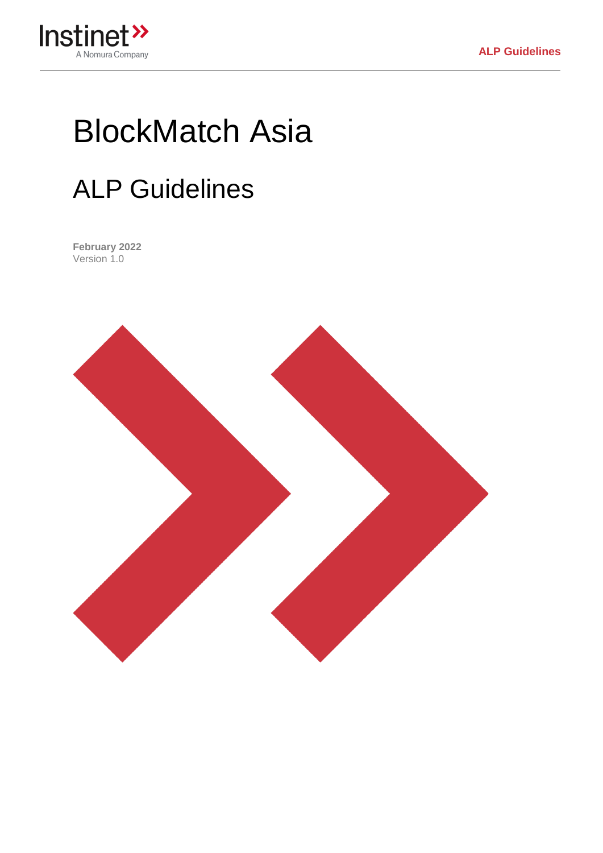

# BlockMatch Asia

## ALP Guidelines

**February 2022** Version 1.0

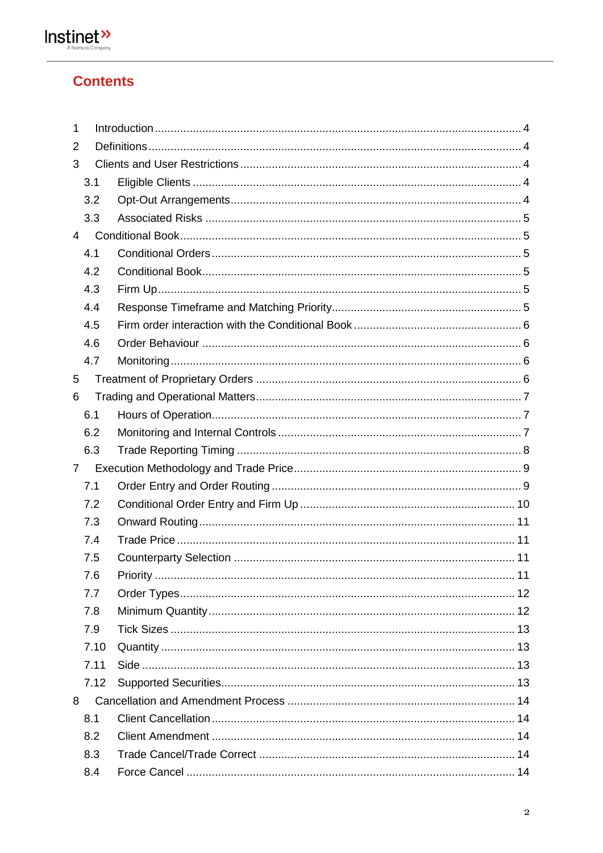

## **Contents**

| 1              |      |                |  |  |  |  |
|----------------|------|----------------|--|--|--|--|
| 2              |      |                |  |  |  |  |
| 3              |      |                |  |  |  |  |
|                | 3.1  |                |  |  |  |  |
|                | 3.2  |                |  |  |  |  |
|                | 3.3  |                |  |  |  |  |
| 4              |      |                |  |  |  |  |
|                | 4.1  |                |  |  |  |  |
|                | 4.2  |                |  |  |  |  |
|                | 4.3  |                |  |  |  |  |
|                | 4.4  |                |  |  |  |  |
|                | 4.5  |                |  |  |  |  |
|                | 4.6  |                |  |  |  |  |
|                | 4.7  |                |  |  |  |  |
| 5              |      |                |  |  |  |  |
| 6              |      |                |  |  |  |  |
|                | 6.1  |                |  |  |  |  |
|                | 6.2  |                |  |  |  |  |
|                | 6.3  |                |  |  |  |  |
| $\overline{7}$ |      |                |  |  |  |  |
|                | 7.1  |                |  |  |  |  |
|                | 7.2  |                |  |  |  |  |
|                | 7.3  |                |  |  |  |  |
|                | 7.4  |                |  |  |  |  |
|                | 7.5  |                |  |  |  |  |
|                | 7.6  | 11<br>Priority |  |  |  |  |
|                | 7.7  |                |  |  |  |  |
|                | 7.8  |                |  |  |  |  |
|                | 7.9  |                |  |  |  |  |
|                | 7.10 |                |  |  |  |  |
|                | 7.11 |                |  |  |  |  |
|                | 7.12 |                |  |  |  |  |
| 8              |      |                |  |  |  |  |
|                | 8.1  |                |  |  |  |  |
|                | 8.2  |                |  |  |  |  |
|                | 8.3  |                |  |  |  |  |
|                | 8.4  |                |  |  |  |  |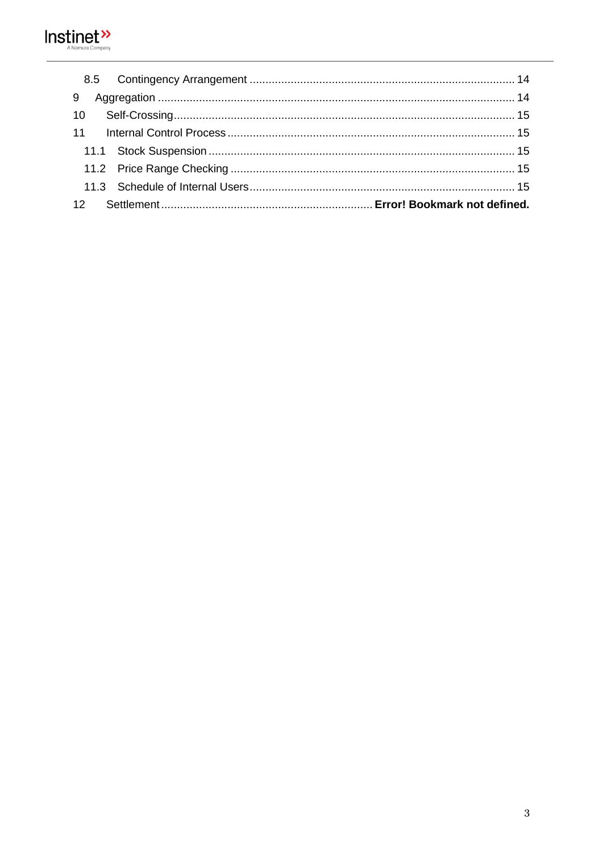

| 9  |  |  |  |  |
|----|--|--|--|--|
| 10 |  |  |  |  |
|    |  |  |  |  |
|    |  |  |  |  |
|    |  |  |  |  |
|    |  |  |  |  |
|    |  |  |  |  |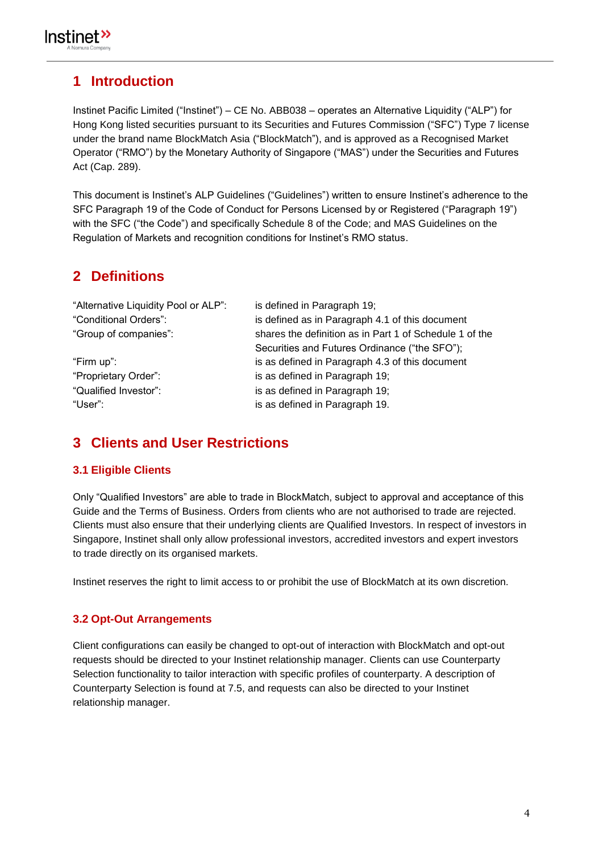## <span id="page-3-0"></span>**1 Introduction**

Instinet Pacific Limited ("Instinet") – CE No. ABB038 – operates an Alternative Liquidity ("ALP") for Hong Kong listed securities pursuant to its Securities and Futures Commission ("SFC") Type 7 license under the brand name BlockMatch Asia ("BlockMatch"), and is approved as a Recognised Market Operator ("RMO") by the Monetary Authority of Singapore ("MAS") under the Securities and Futures Act (Cap. 289).

This document is Instinet's ALP Guidelines ("Guidelines") written to ensure Instinet's adherence to the SFC Paragraph 19 of the Code of Conduct for Persons Licensed by or Registered ("Paragraph 19") with the SFC ("the Code") and specifically Schedule 8 of the Code; and MAS Guidelines on the Regulation of Markets and recognition conditions for Instinet's RMO status.

## <span id="page-3-1"></span>**2 Definitions**

| "Alternative Liquidity Pool or ALP": | is defined in Paragraph 19;                             |
|--------------------------------------|---------------------------------------------------------|
| "Conditional Orders":                | is defined as in Paragraph 4.1 of this document         |
| "Group of companies":                | shares the definition as in Part 1 of Schedule 1 of the |
|                                      | Securities and Futures Ordinance ("the SFO");           |
| "Firm up":                           | is as defined in Paragraph 4.3 of this document         |
| "Proprietary Order":                 | is as defined in Paragraph 19;                          |
| "Qualified Investor":                | is as defined in Paragraph 19;                          |
| "User":                              | is as defined in Paragraph 19.                          |

## <span id="page-3-2"></span>**3 Clients and User Restrictions**

#### <span id="page-3-3"></span>**3.1 Eligible Clients**

Only "Qualified Investors" are able to trade in BlockMatch, subject to approval and acceptance of this Guide and the Terms of Business. Orders from clients who are not authorised to trade are rejected. Clients must also ensure that their underlying clients are Qualified Investors. In respect of investors in Singapore, Instinet shall only allow professional investors, accredited investors and expert investors to trade directly on its organised markets.

Instinet reserves the right to limit access to or prohibit the use of BlockMatch at its own discretion.

#### <span id="page-3-4"></span>**3.2 Opt-Out Arrangements**

Client configurations can easily be changed to opt-out of interaction with BlockMatch and opt-out requests should be directed to your Instinet relationship manager. Clients can use Counterparty Selection functionality to tailor interaction with specific profiles of counterparty. A description of Counterparty Selection is found at 7.5, and requests can also be directed to your Instinet relationship manager.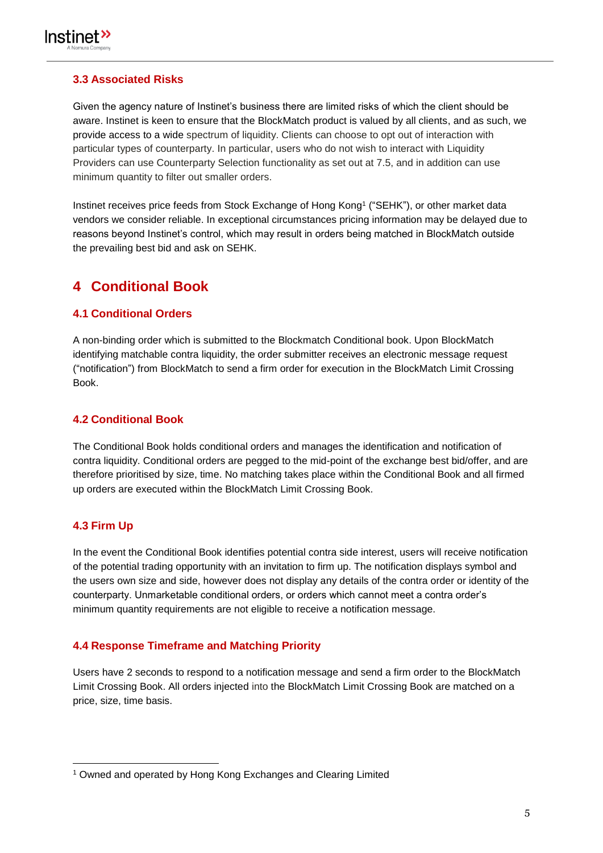

#### <span id="page-4-0"></span>**3.3 Associated Risks**

Given the agency nature of Instinet's business there are limited risks of which the client should be aware. Instinet is keen to ensure that the BlockMatch product is valued by all clients, and as such, we provide access to a wide spectrum of liquidity. Clients can choose to opt out of interaction with particular types of counterparty. In particular, users who do not wish to interact with Liquidity Providers can use Counterparty Selection functionality as set out at 7.5, and in addition can use minimum quantity to filter out smaller orders.

Instinet receives price feeds from Stock Exchange of Hong Kong<sup>1</sup> ("SEHK"), or other market data vendors we consider reliable. In exceptional circumstances pricing information may be delayed due to reasons beyond Instinet's control, which may result in orders being matched in BlockMatch outside the prevailing best bid and ask on SEHK.

## <span id="page-4-1"></span>**4 Conditional Book**

#### <span id="page-4-2"></span>**4.1 Conditional Orders**

A non-binding order which is submitted to the Blockmatch Conditional book. Upon BlockMatch identifying matchable contra liquidity, the order submitter receives an electronic message request ("notification") from BlockMatch to send a firm order for execution in the BlockMatch Limit Crossing Book.

#### <span id="page-4-3"></span>**4.2 Conditional Book**

The Conditional Book holds conditional orders and manages the identification and notification of contra liquidity. Conditional orders are pegged to the mid-point of the exchange best bid/offer, and are therefore prioritised by size, time. No matching takes place within the Conditional Book and all firmed up orders are executed within the BlockMatch Limit Crossing Book.

#### <span id="page-4-4"></span>**4.3 Firm Up**

In the event the Conditional Book identifies potential contra side interest, users will receive notification of the potential trading opportunity with an invitation to firm up. The notification displays symbol and the users own size and side, however does not display any details of the contra order or identity of the counterparty. Unmarketable conditional orders, or orders which cannot meet a contra order's minimum quantity requirements are not eligible to receive a notification message.

#### <span id="page-4-5"></span>**4.4 Response Timeframe and Matching Priority**

Users have 2 seconds to respond to a notification message and send a firm order to the BlockMatch Limit Crossing Book. All orders injected into the BlockMatch Limit Crossing Book are matched on a price, size, time basis.

 $\overline{a}$ <sup>1</sup> Owned and operated by Hong Kong Exchanges and Clearing Limited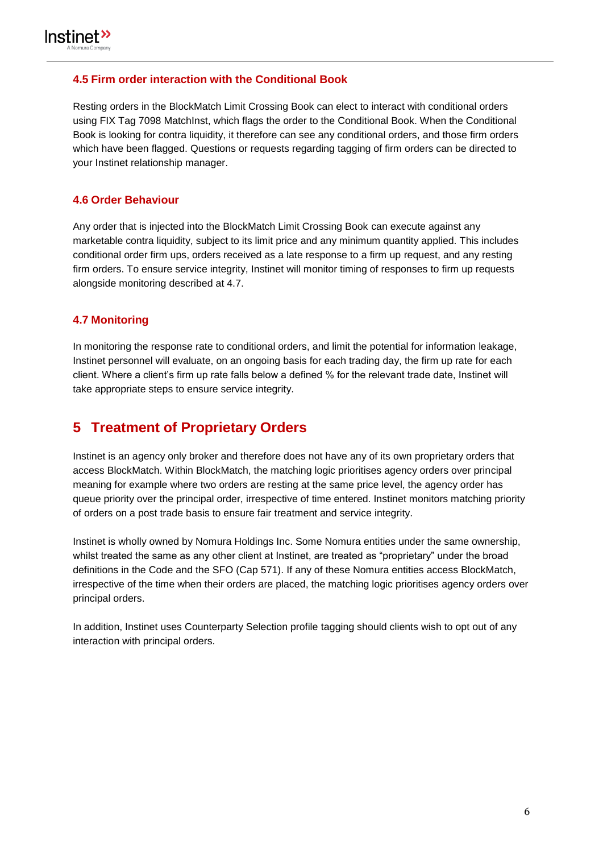

#### <span id="page-5-0"></span>**4.5 Firm order interaction with the Conditional Book**

Resting orders in the BlockMatch Limit Crossing Book can elect to interact with conditional orders using FIX Tag 7098 MatchInst, which flags the order to the Conditional Book. When the Conditional Book is looking for contra liquidity, it therefore can see any conditional orders, and those firm orders which have been flagged. Questions or requests regarding tagging of firm orders can be directed to your Instinet relationship manager.

#### <span id="page-5-1"></span>**4.6 Order Behaviour**

Any order that is injected into the BlockMatch Limit Crossing Book can execute against any marketable contra liquidity, subject to its limit price and any minimum quantity applied. This includes conditional order firm ups, orders received as a late response to a firm up request, and any resting firm orders. To ensure service integrity, Instinet will monitor timing of responses to firm up requests alongside monitoring described at 4.7.

#### <span id="page-5-2"></span>**4.7 Monitoring**

In monitoring the response rate to conditional orders, and limit the potential for information leakage, Instinet personnel will evaluate, on an ongoing basis for each trading day, the firm up rate for each client. Where a client's firm up rate falls below a defined % for the relevant trade date, Instinet will take appropriate steps to ensure service integrity.

## <span id="page-5-3"></span>**5 Treatment of Proprietary Orders**

Instinet is an agency only broker and therefore does not have any of its own proprietary orders that access BlockMatch. Within BlockMatch, the matching logic prioritises agency orders over principal meaning for example where two orders are resting at the same price level, the agency order has queue priority over the principal order, irrespective of time entered. Instinet monitors matching priority of orders on a post trade basis to ensure fair treatment and service integrity.

Instinet is wholly owned by Nomura Holdings Inc. Some Nomura entities under the same ownership, whilst treated the same as any other client at Instinet, are treated as "proprietary" under the broad definitions in the Code and the SFO (Cap 571). If any of these Nomura entities access BlockMatch, irrespective of the time when their orders are placed, the matching logic prioritises agency orders over principal orders.

In addition, Instinet uses Counterparty Selection profile tagging should clients wish to opt out of any interaction with principal orders.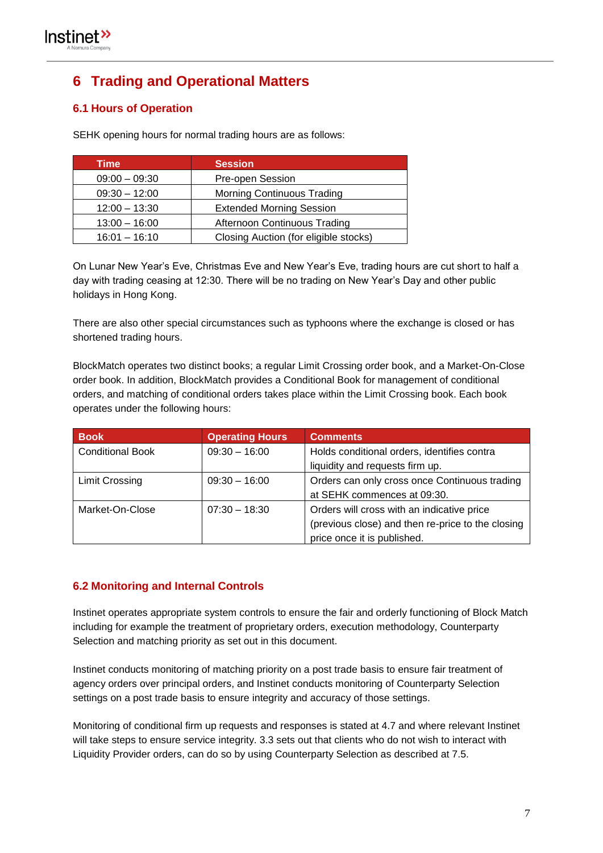## <span id="page-6-0"></span>**6 Trading and Operational Matters**

#### <span id="page-6-1"></span>**6.1 Hours of Operation**

SEHK opening hours for normal trading hours are as follows:

| <b>Time</b>     | <b>Session</b>                        |
|-----------------|---------------------------------------|
| $09:00 - 09:30$ | Pre-open Session                      |
| $09:30 - 12:00$ | Morning Continuous Trading            |
| $12:00 - 13:30$ | <b>Extended Morning Session</b>       |
| $13:00 - 16:00$ | Afternoon Continuous Trading          |
| $16:01 - 16:10$ | Closing Auction (for eligible stocks) |

On Lunar New Year's Eve, Christmas Eve and New Year's Eve, trading hours are cut short to half a day with trading ceasing at 12:30. There will be no trading on New Year's Day and other public holidays in Hong Kong.

There are also other special circumstances such as typhoons where the exchange is closed or has shortened trading hours.

BlockMatch operates two distinct books; a regular Limit Crossing order book, and a Market-On-Close order book. In addition, BlockMatch provides a Conditional Book for management of conditional orders, and matching of conditional orders takes place within the Limit Crossing book. Each book operates under the following hours:

| <b>Book</b>             | <b>Operating Hours</b> | <b>Comments</b>                                   |  |
|-------------------------|------------------------|---------------------------------------------------|--|
| <b>Conditional Book</b> | $09:30 - 16:00$        | Holds conditional orders, identifies contra       |  |
|                         |                        | liquidity and requests firm up.                   |  |
| <b>Limit Crossing</b>   | $09:30 - 16:00$        | Orders can only cross once Continuous trading     |  |
|                         |                        | at SEHK commences at 09:30.                       |  |
| Market-On-Close         | $07:30 - 18:30$        | Orders will cross with an indicative price        |  |
|                         |                        | (previous close) and then re-price to the closing |  |
|                         |                        | price once it is published.                       |  |

#### <span id="page-6-2"></span>**6.2 Monitoring and Internal Controls**

Instinet operates appropriate system controls to ensure the fair and orderly functioning of Block Match including for example the treatment of proprietary orders, execution methodology, Counterparty Selection and matching priority as set out in this document.

Instinet conducts monitoring of matching priority on a post trade basis to ensure fair treatment of agency orders over principal orders, and Instinet conducts monitoring of Counterparty Selection settings on a post trade basis to ensure integrity and accuracy of those settings.

Monitoring of conditional firm up requests and responses is stated at 4.7 and where relevant Instinet will take steps to ensure service integrity. 3.3 sets out that clients who do not wish to interact with Liquidity Provider orders, can do so by using Counterparty Selection as described at 7.5.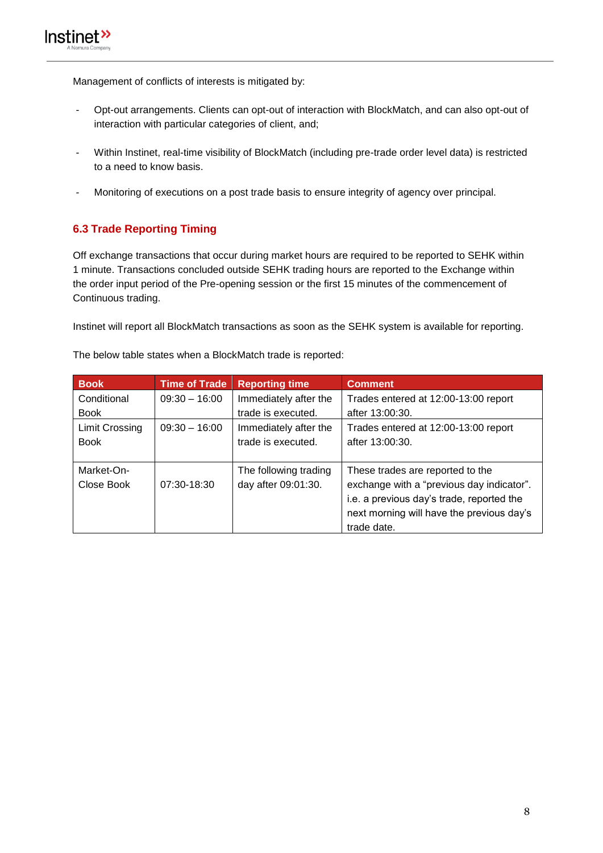Management of conflicts of interests is mitigated by:

- Opt-out arrangements. Clients can opt-out of interaction with BlockMatch, and can also opt-out of interaction with particular categories of client, and;
- Within Instinet, real-time visibility of BlockMatch (including pre-trade order level data) is restricted to a need to know basis.
- Monitoring of executions on a post trade basis to ensure integrity of agency over principal.

#### <span id="page-7-0"></span>**6.3 Trade Reporting Timing**

Off exchange transactions that occur during market hours are required to be reported to SEHK within 1 minute. Transactions concluded outside SEHK trading hours are reported to the Exchange within the order input period of the Pre-opening session or the first 15 minutes of the commencement of Continuous trading.

Instinet will report all BlockMatch transactions as soon as the SEHK system is available for reporting.

<span id="page-7-1"></span>

| <b>Book</b>                              | <b>Time of Trade</b> | <b>Reporting time</b> | <b>Comment</b>                            |  |
|------------------------------------------|----------------------|-----------------------|-------------------------------------------|--|
| $09:30 - 16:00$<br>Conditional           |                      | Immediately after the | Trades entered at 12:00-13:00 report      |  |
| <b>Book</b>                              |                      | trade is executed.    | after 13:00:30.                           |  |
| <b>Limit Crossing</b><br>$09:30 - 16:00$ |                      | Immediately after the | Trades entered at 12:00-13:00 report      |  |
| <b>Book</b>                              |                      | trade is executed.    | after 13:00:30.                           |  |
|                                          |                      |                       |                                           |  |
| Market-On-                               |                      | The following trading | These trades are reported to the          |  |
| Close Book                               | 07:30-18:30          | day after 09:01:30.   | exchange with a "previous day indicator". |  |
|                                          |                      |                       | i.e. a previous day's trade, reported the |  |
|                                          |                      |                       | next morning will have the previous day's |  |
|                                          |                      |                       | trade date.                               |  |

The below table states when a BlockMatch trade is reported: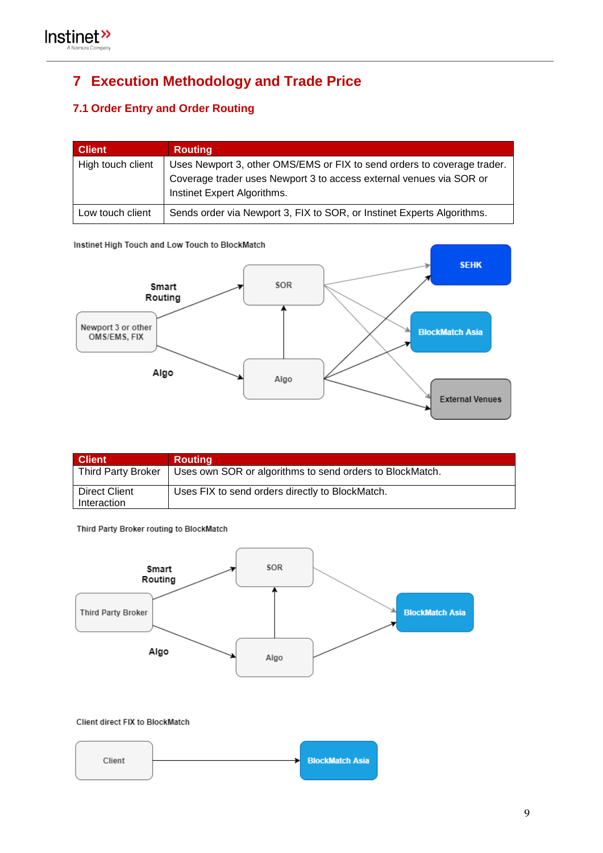## **7 Execution Methodology and Trade Price**

## <span id="page-8-0"></span>**7.1 Order Entry and Order Routing**

| <b>Client</b>     | <b>Routing</b>                                                                                                                                                                |
|-------------------|-------------------------------------------------------------------------------------------------------------------------------------------------------------------------------|
| High touch client | Uses Newport 3, other OMS/EMS or FIX to send orders to coverage trader.<br>Coverage trader uses Newport 3 to access external venues via SOR or<br>Instinet Expert Algorithms. |
| Low touch client  | Sends order via Newport 3, FIX to SOR, or Instinet Experts Algorithms.                                                                                                        |

Instinet High Touch and Low Touch to BlockMatch



| <b>Client</b>                  | <b>Routing</b>                                           |
|--------------------------------|----------------------------------------------------------|
| Third Party Broker             | Uses own SOR or algorithms to send orders to BlockMatch. |
| l Direct Client<br>Interaction | Uses FIX to send orders directly to BlockMatch.          |

Third Party Broker routing to BlockMatch

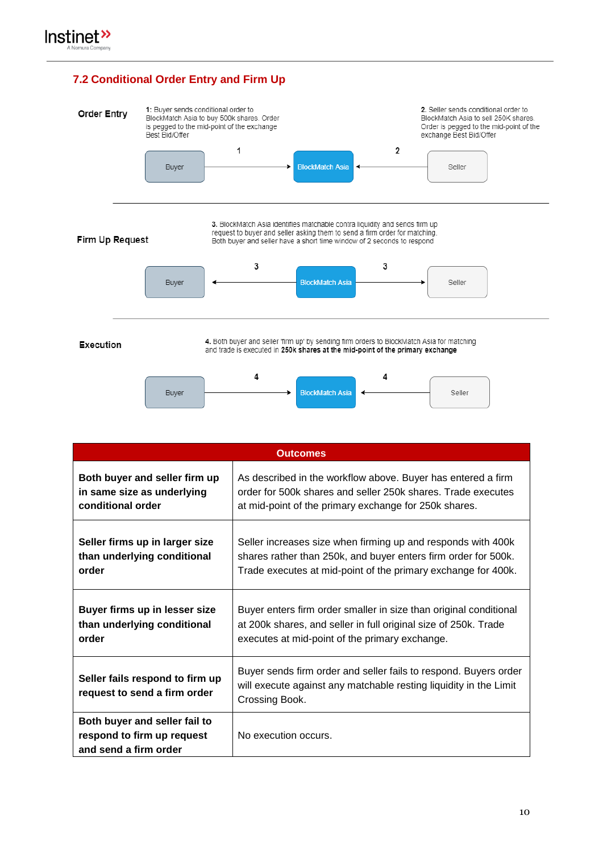#### <span id="page-9-0"></span>**7.2 Conditional Order Entry and Firm Up**



| <b>Outcomes</b>                                                                      |                                                                                                                                                         |  |  |
|--------------------------------------------------------------------------------------|---------------------------------------------------------------------------------------------------------------------------------------------------------|--|--|
| Both buyer and seller firm up                                                        | As described in the workflow above. Buyer has entered a firm                                                                                            |  |  |
| in same size as underlying                                                           | order for 500k shares and seller 250k shares. Trade executes                                                                                            |  |  |
| conditional order                                                                    | at mid-point of the primary exchange for 250k shares.                                                                                                   |  |  |
| Seller firms up in larger size                                                       | Seller increases size when firming up and responds with 400k                                                                                            |  |  |
| than underlying conditional                                                          | shares rather than 250k, and buyer enters firm order for 500k.                                                                                          |  |  |
| order                                                                                | Trade executes at mid-point of the primary exchange for 400k.                                                                                           |  |  |
| Buyer firms up in lesser size                                                        | Buyer enters firm order smaller in size than original conditional                                                                                       |  |  |
| than underlying conditional                                                          | at 200k shares, and seller in full original size of 250k. Trade                                                                                         |  |  |
| order                                                                                | executes at mid-point of the primary exchange.                                                                                                          |  |  |
| Seller fails respond to firm up<br>request to send a firm order                      | Buyer sends firm order and seller fails to respond. Buyers order<br>will execute against any matchable resting liquidity in the Limit<br>Crossing Book. |  |  |
| Both buyer and seller fail to<br>respond to firm up request<br>and send a firm order | No execution occurs.                                                                                                                                    |  |  |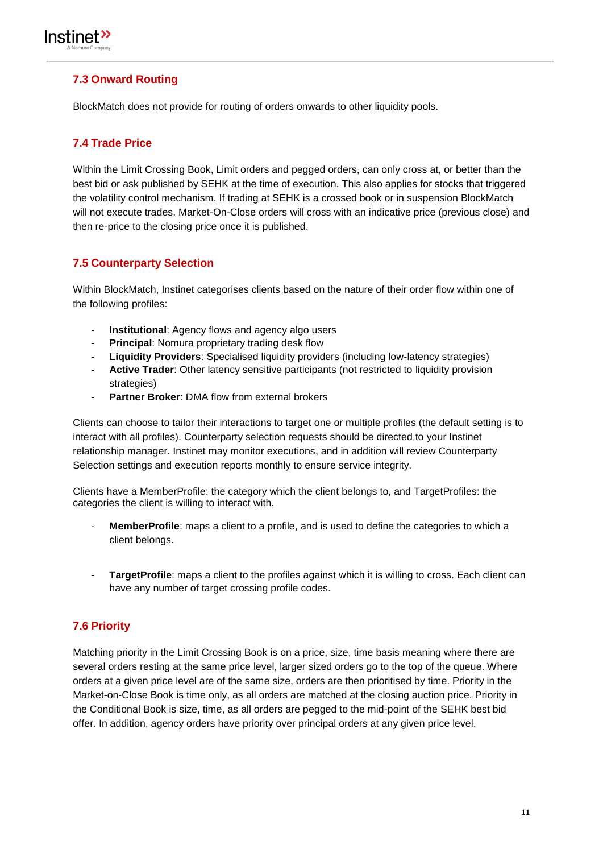

#### <span id="page-10-0"></span>**7.3 Onward Routing**

BlockMatch does not provide for routing of orders onwards to other liquidity pools.

#### <span id="page-10-1"></span>**7.4 Trade Price**

Within the Limit Crossing Book, Limit orders and pegged orders, can only cross at, or better than the best bid or ask published by SEHK at the time of execution. This also applies for stocks that triggered the volatility control mechanism. If trading at SEHK is a crossed book or in suspension BlockMatch will not execute trades. Market-On-Close orders will cross with an indicative price (previous close) and then re-price to the closing price once it is published.

#### <span id="page-10-2"></span>**7.5 Counterparty Selection**

Within BlockMatch, Instinet categorises clients based on the nature of their order flow within one of the following profiles:

- **Institutional:** Agency flows and agency algo users
- **Principal:** Nomura proprietary trading desk flow
- **Liquidity Providers**: Specialised liquidity providers (including low-latency strategies)
- Active Trader: Other latency sensitive participants (not restricted to liquidity provision strategies)
- **Partner Broker**: DMA flow from external brokers

Clients can choose to tailor their interactions to target one or multiple profiles (the default setting is to interact with all profiles). Counterparty selection requests should be directed to your Instinet relationship manager. Instinet may monitor executions, and in addition will review Counterparty Selection settings and execution reports monthly to ensure service integrity.

Clients have a MemberProfile: the category which the client belongs to, and TargetProfiles: the categories the client is willing to interact with.

- MemberProfile: maps a client to a profile, and is used to define the categories to which a client belongs.
- TargetProfile: maps a client to the profiles against which it is willing to cross. Each client can have any number of target crossing profile codes.

#### <span id="page-10-3"></span>**7.6 Priority**

Matching priority in the Limit Crossing Book is on a price, size, time basis meaning where there are several orders resting at the same price level, larger sized orders go to the top of the queue. Where orders at a given price level are of the same size, orders are then prioritised by time. Priority in the Market-on-Close Book is time only, as all orders are matched at the closing auction price. Priority in the Conditional Book is size, time, as all orders are pegged to the mid-point of the SEHK best bid offer. In addition, agency orders have priority over principal orders at any given price level.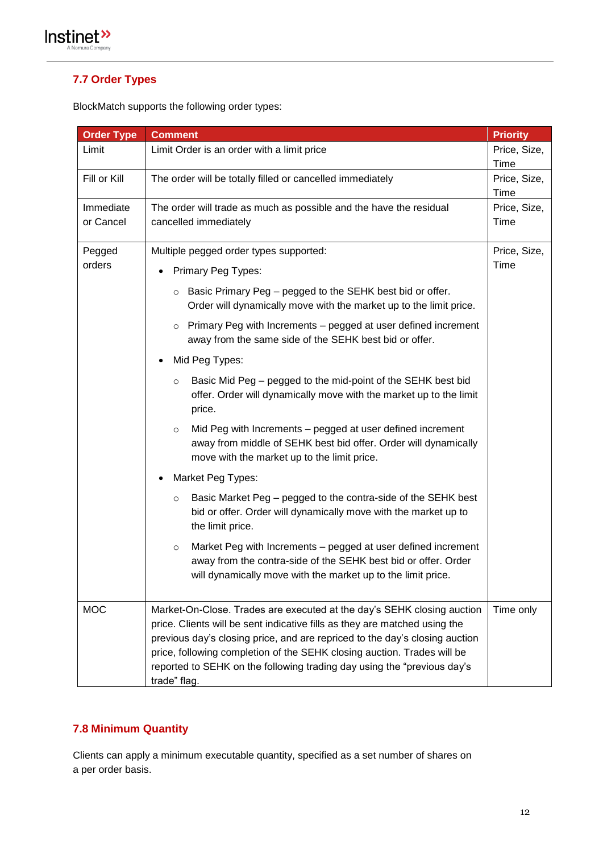

#### <span id="page-11-0"></span>**7.7 Order Types**

BlockMatch supports the following order types:

| <b>Order Type</b>      | <b>Comment</b>                                                                                                                                                                                                                                                                                                                                                                                            | <b>Priority</b>      |  |
|------------------------|-----------------------------------------------------------------------------------------------------------------------------------------------------------------------------------------------------------------------------------------------------------------------------------------------------------------------------------------------------------------------------------------------------------|----------------------|--|
| Limit                  | Limit Order is an order with a limit price                                                                                                                                                                                                                                                                                                                                                                |                      |  |
| Fill or Kill           | The order will be totally filled or cancelled immediately                                                                                                                                                                                                                                                                                                                                                 |                      |  |
| Immediate<br>or Cancel | The order will trade as much as possible and the have the residual<br>cancelled immediately                                                                                                                                                                                                                                                                                                               | Price, Size,<br>Time |  |
| Pegged                 | Multiple pegged order types supported:                                                                                                                                                                                                                                                                                                                                                                    | Price, Size,         |  |
| orders                 | <b>Primary Peg Types:</b>                                                                                                                                                                                                                                                                                                                                                                                 |                      |  |
|                        | $\circ$ Basic Primary Peg – pegged to the SEHK best bid or offer.<br>Order will dynamically move with the market up to the limit price.                                                                                                                                                                                                                                                                   |                      |  |
|                        | Primary Peg with Increments - pegged at user defined increment<br>$\circ$<br>away from the same side of the SEHK best bid or offer.                                                                                                                                                                                                                                                                       |                      |  |
|                        | Mid Peg Types:                                                                                                                                                                                                                                                                                                                                                                                            |                      |  |
|                        | Basic Mid Peg - pegged to the mid-point of the SEHK best bid<br>$\circ$<br>offer. Order will dynamically move with the market up to the limit<br>price.                                                                                                                                                                                                                                                   |                      |  |
|                        | Mid Peg with Increments - pegged at user defined increment<br>$\circ$<br>away from middle of SEHK best bid offer. Order will dynamically<br>move with the market up to the limit price.                                                                                                                                                                                                                   |                      |  |
|                        | Market Peg Types:                                                                                                                                                                                                                                                                                                                                                                                         |                      |  |
|                        | Basic Market Peg - pegged to the contra-side of the SEHK best<br>$\circ$<br>bid or offer. Order will dynamically move with the market up to<br>the limit price.                                                                                                                                                                                                                                           |                      |  |
|                        | Market Peg with Increments - pegged at user defined increment<br>$\circ$<br>away from the contra-side of the SEHK best bid or offer. Order<br>will dynamically move with the market up to the limit price.                                                                                                                                                                                                |                      |  |
| <b>MOC</b>             | Market-On-Close. Trades are executed at the day's SEHK closing auction<br>price. Clients will be sent indicative fills as they are matched using the<br>previous day's closing price, and are repriced to the day's closing auction<br>price, following completion of the SEHK closing auction. Trades will be<br>reported to SEHK on the following trading day using the "previous day's<br>trade" flag. | Time only            |  |

#### <span id="page-11-1"></span>**7.8 Minimum Quantity**

Clients can apply a minimum executable quantity, specified as a set number of shares on a per order basis.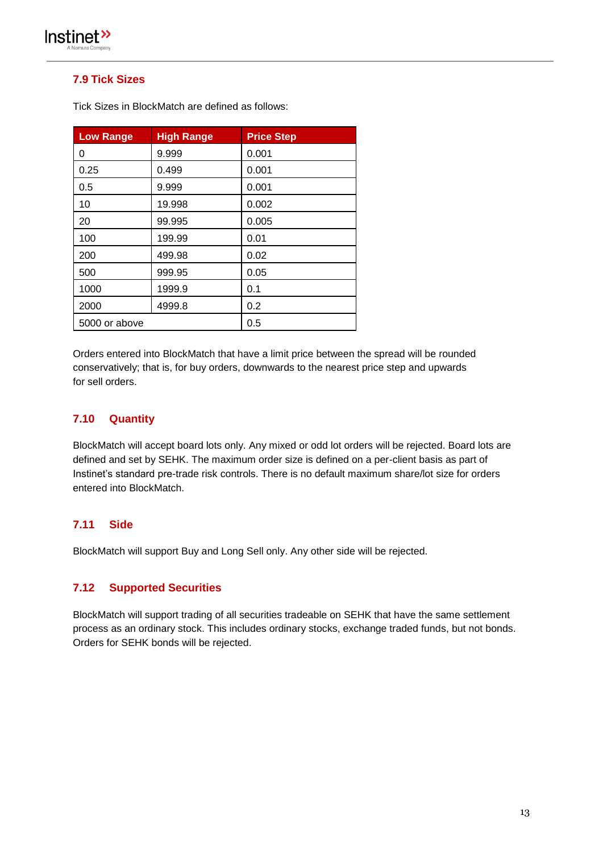

#### <span id="page-12-0"></span>**7.9 Tick Sizes**

| <b>Low Range</b> | <b>High Range</b> | <b>Price Step</b> |
|------------------|-------------------|-------------------|
| 0                | 9.999             | 0.001             |
| 0.25             | 0.499             | 0.001             |
| 0.5              | 9.999             | 0.001             |
| 10               | 19.998            | 0.002             |
| 20               | 99.995            | 0.005             |
| 100              | 199.99            | 0.01              |
| 200              | 499.98            | 0.02              |
| 500              | 999.95            | 0.05              |
| 1000             | 1999.9            | 0.1               |
| 2000             | 4999.8            | 0.2               |
| 5000 or above    |                   | 0.5               |

Tick Sizes in BlockMatch are defined as follows:

Orders entered into BlockMatch that have a limit price between the spread will be rounded conservatively; that is, for buy orders, downwards to the nearest price step and upwards for sell orders.

#### <span id="page-12-1"></span>**7.10 Quantity**

BlockMatch will accept board lots only. Any mixed or odd lot orders will be rejected. Board lots are defined and set by SEHK. The maximum order size is defined on a per-client basis as part of Instinet's standard pre-trade risk controls. There is no default maximum share/lot size for orders entered into BlockMatch.

#### <span id="page-12-2"></span>**7.11 Side**

BlockMatch will support Buy and Long Sell only. Any other side will be rejected.

#### <span id="page-12-3"></span>**7.12 Supported Securities**

BlockMatch will support trading of all securities tradeable on SEHK that have the same settlement process as an ordinary stock. This includes ordinary stocks, exchange traded funds, but not bonds. Orders for SEHK bonds will be rejected.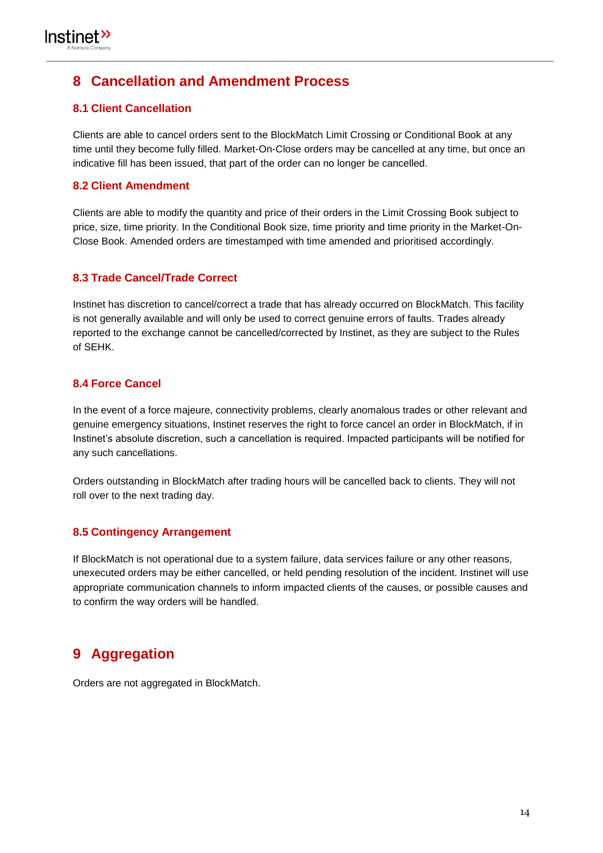## <span id="page-13-0"></span>**8 Cancellation and Amendment Process**

#### <span id="page-13-1"></span>**8.1 Client Cancellation**

Clients are able to cancel orders sent to the BlockMatch Limit Crossing or Conditional Book at any time until they become fully filled. Market-On-Close orders may be cancelled at any time, but once an indicative fill has been issued, that part of the order can no longer be cancelled.

#### <span id="page-13-2"></span>**8.2 Client Amendment**

Clients are able to modify the quantity and price of their orders in the Limit Crossing Book subject to price, size, time priority. In the Conditional Book size, time priority and time priority in the Market-On-Close Book. Amended orders are timestamped with time amended and prioritised accordingly.

#### <span id="page-13-3"></span>**8.3 Trade Cancel/Trade Correct**

Instinet has discretion to cancel/correct a trade that has already occurred on BlockMatch. This facility is not generally available and will only be used to correct genuine errors of faults. Trades already reported to the exchange cannot be cancelled/corrected by Instinet, as they are subject to the Rules of SEHK.

#### <span id="page-13-4"></span>**8.4 Force Cancel**

In the event of a force majeure, connectivity problems, clearly anomalous trades or other relevant and genuine emergency situations, Instinet reserves the right to force cancel an order in BlockMatch, if in Instinet's absolute discretion, such a cancellation is required. Impacted participants will be notified for any such cancellations.

Orders outstanding in BlockMatch after trading hours will be cancelled back to clients. They will not roll over to the next trading day.

#### <span id="page-13-5"></span>**8.5 Contingency Arrangement**

If BlockMatch is not operational due to a system failure, data services failure or any other reasons, unexecuted orders may be either cancelled, or held pending resolution of the incident. Instinet will use appropriate communication channels to inform impacted clients of the causes, or possible causes and to confirm the way orders will be handled.

## <span id="page-13-6"></span>**9 Aggregation**

Orders are not aggregated in BlockMatch.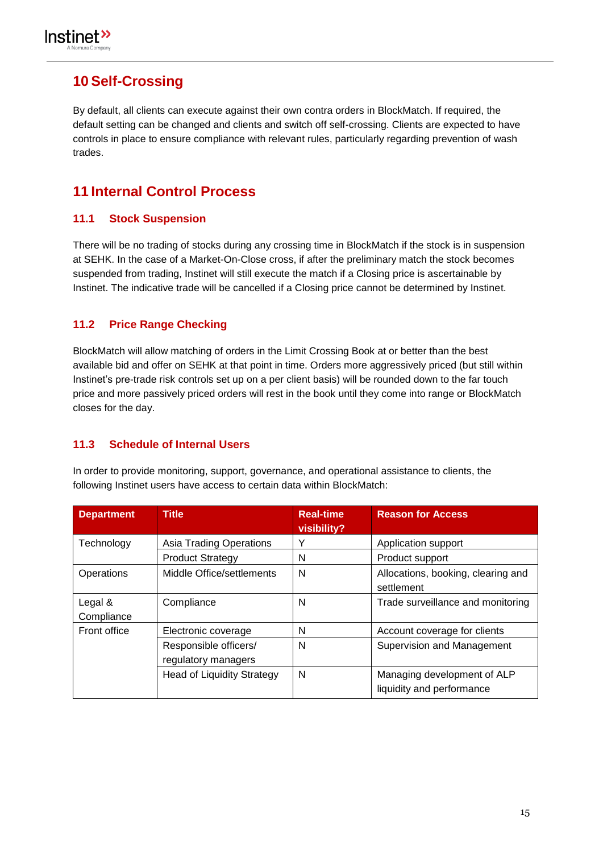

## <span id="page-14-0"></span>**10 Self-Crossing**

By default, all clients can execute against their own contra orders in BlockMatch. If required, the default setting can be changed and clients and switch off self-crossing. Clients are expected to have controls in place to ensure compliance with relevant rules, particularly regarding prevention of wash trades.

## <span id="page-14-1"></span>**11 Internal Control Process**

#### <span id="page-14-2"></span>**11.1 Stock Suspension**

There will be no trading of stocks during any crossing time in BlockMatch if the stock is in suspension at SEHK. In the case of a Market-On-Close cross, if after the preliminary match the stock becomes suspended from trading, Instinet will still execute the match if a Closing price is ascertainable by Instinet. The indicative trade will be cancelled if a Closing price cannot be determined by Instinet.

#### <span id="page-14-3"></span>**11.2 Price Range Checking**

BlockMatch will allow matching of orders in the Limit Crossing Book at or better than the best available bid and offer on SEHK at that point in time. Orders more aggressively priced (but still within Instinet's pre-trade risk controls set up on a per client basis) will be rounded down to the far touch price and more passively priced orders will rest in the book until they come into range or BlockMatch closes for the day.

#### <span id="page-14-4"></span>**11.3 Schedule of Internal Users**

In order to provide monitoring, support, governance, and operational assistance to clients, the following Instinet users have access to certain data within BlockMatch:

| <b>Department</b>     | <b>Title</b>                                 | <b>Real-time</b><br>visibility? | <b>Reason for Access</b>                                 |
|-----------------------|----------------------------------------------|---------------------------------|----------------------------------------------------------|
| Technology            | <b>Asia Trading Operations</b>               |                                 | Application support                                      |
|                       | <b>Product Strategy</b>                      | N                               | Product support                                          |
| Operations            | Middle Office/settlements                    | N                               | Allocations, booking, clearing and<br>settlement         |
| Legal &<br>Compliance | Compliance                                   | N                               | Trade surveillance and monitoring                        |
| <b>Front office</b>   | Electronic coverage                          | N                               | Account coverage for clients                             |
|                       | Responsible officers/<br>regulatory managers | N                               | Supervision and Management                               |
|                       | <b>Head of Liquidity Strategy</b>            | N                               | Managing development of ALP<br>liquidity and performance |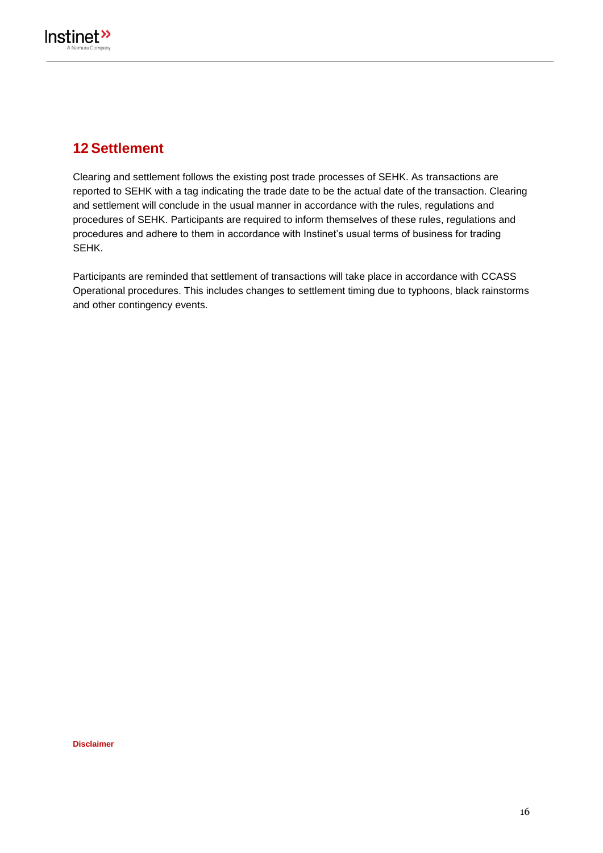

## **12 Settlement**

Clearing and settlement follows the existing post trade processes of SEHK. As transactions are reported to SEHK with a tag indicating the trade date to be the actual date of the transaction. Clearing and settlement will conclude in the usual manner in accordance with the rules, regulations and procedures of SEHK. Participants are required to inform themselves of these rules, regulations and procedures and adhere to them in accordance with Instinet's usual terms of business for trading SEHK.

Participants are reminded that settlement of transactions will take place in accordance with CCASS Operational procedures. This includes changes to settlement timing due to typhoons, black rainstorms and other contingency events.

**Disclaimer**